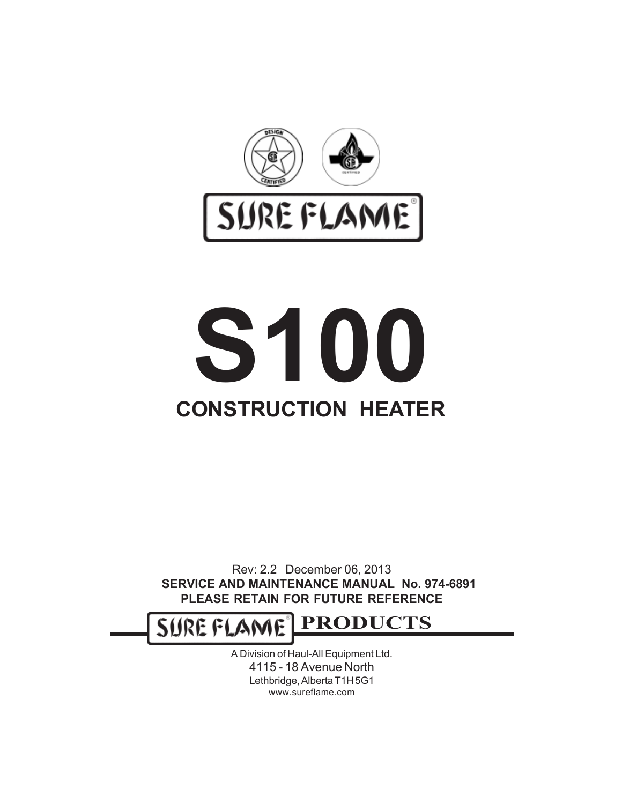

# **CONSTRUCTION HEATER S100**

Rev: 2.2 December 06, 2013 **SERVICE AND MAINTENANCE MANUAL No. 974-6891 PLEASE RETAIN FOR FUTURE REFERENCE**

**PRODUCTS** SURE FLAME

> A Division of Haul-All Equipment Ltd. 4115 - 18 Avenue North Lethbridge, Alberta T1H 5G1 www.sureflame.com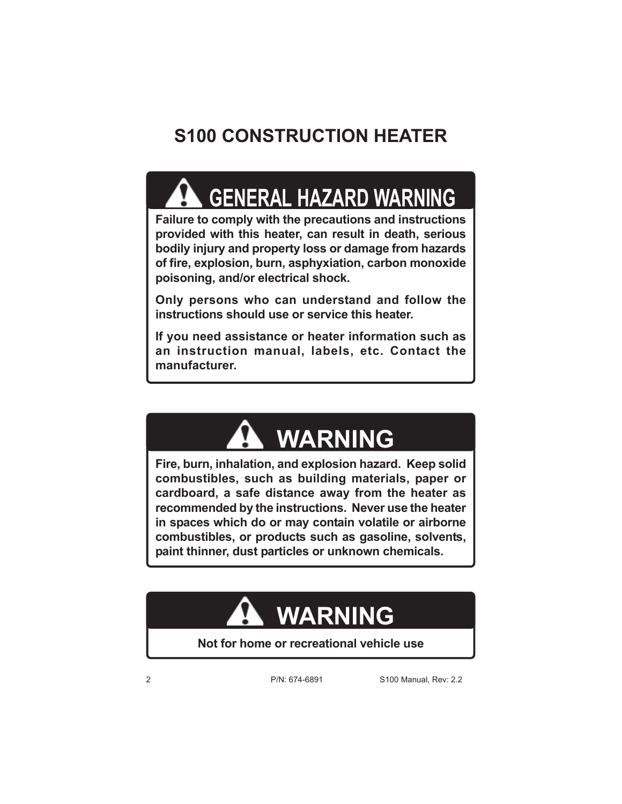## **S100 CONSTRUCTION HEATER**

## **GENERAL HAZARD WARNING**

**Failure to comply with the precautions and instructions provided with this heater, can result in death, serious bodily injury and property loss or damage from hazards of fire, explosion, burn, asphyxiation, carbon monoxide poisoning, and/or electrical shock.**

**Only persons who can understand and follow the instructions should use or service this heater.**

**If you need assistance or heater information such as an instruction manual, labels, etc. Contact the manufacturer.**

# **WARNING**

**Fire, burn, inhalation, and explosion hazard. Keep solid combustibles, such as building materials, paper or cardboard, a safe distance away from the heater as recommended by the instructions. Never use the heater in spaces which do or may contain volatile or airborne combustibles, or products such as gasoline, solvents, paint thinner, dust particles or unknown chemicals.**

# **WARNING**

**Not for home or recreational vehicle use**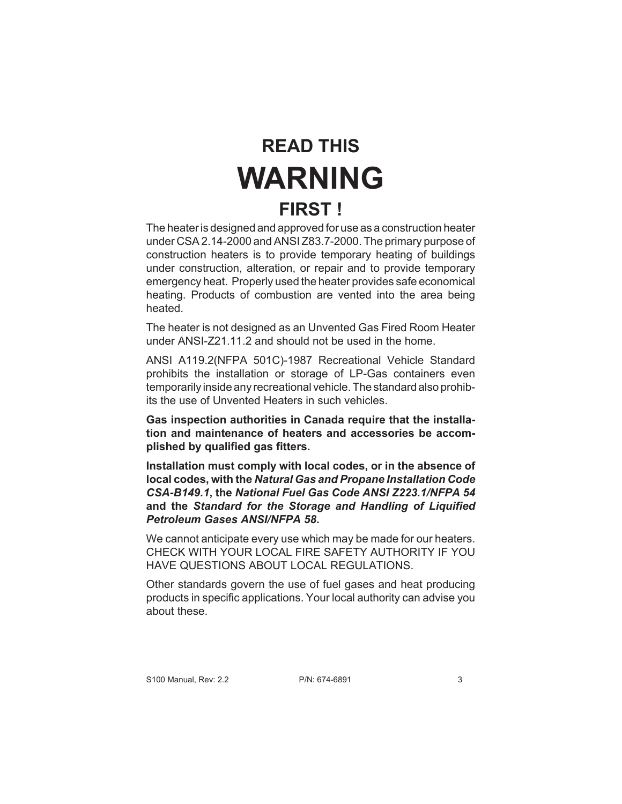## **READ THIS WARNING FIRST !**

The heater is designed and approved for use as a construction heater under CSA 2.14-2000 and ANSI Z83.7-2000. The primary purpose of construction heaters is to provide temporary heating of buildings under construction, alteration, or repair and to provide temporary emergency heat. Properly used the heater provides safe economical heating. Products of combustion are vented into the area being heated.

The heater is not designed as an Unvented Gas Fired Room Heater under ANSI-Z21.11.2 and should not be used in the home.

ANSI A119.2(NFPA 501C)-1987 Recreational Vehicle Standard prohibits the installation or storage of LP-Gas containers even temporarily inside any recreational vehicle. The standard also prohibits the use of Unvented Heaters in such vehicles.

**Gas inspection authorities in Canada require that the installation and maintenance of heaters and accessories be accomplished by qualified gas fitters.**

**Installation must comply with local codes, or in the absence of local codes, with the** *Natural Gas and Propane Installation Code CSA-B149.1***, the** *National Fuel Gas Code ANSI Z223.1/NFPA 54* **and the** *Standard for the Storage and Handling of Liquified Petroleum Gases ANSI/NFPA 58***.**

We cannot anticipate every use which may be made for our heaters. CHECK WITH YOUR LOCAL FIRE SAFETY AUTHORITY IF YOU HAVE QUESTIONS ABOUT LOCAL REGULATIONS.

Other standards govern the use of fuel gases and heat producing products in specific applications. Your local authority can advise you about these.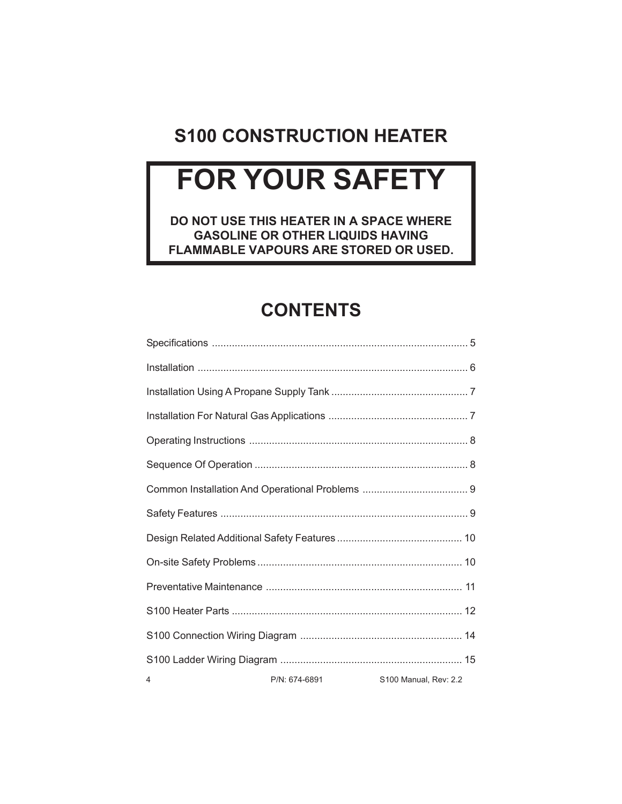#### **S100 CONSTRUCTION HEATER**

# **FOR YOUR SAFETY**

**DO NOT USE THIS HEATER IN A SPACE WHERE GASOLINE OR OTHER LIQUIDS HAVING FLAMMABLE VAPOURS ARE STORED OR USED.**

#### **CONTENTS**

| 4 | P/N: 674-6891 | S100 Manual, Rev: 2.2 |
|---|---------------|-----------------------|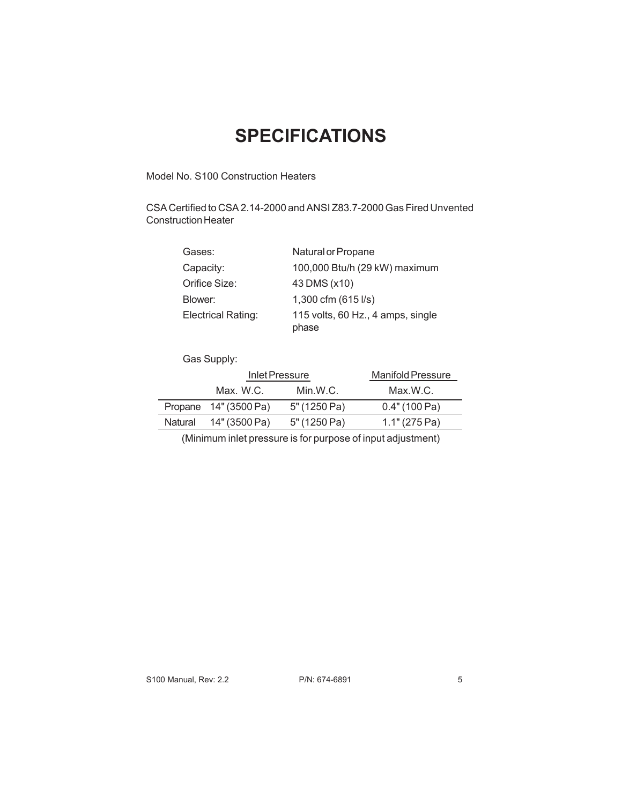#### **SPECIFICATIONS**

Model No. S100 Construction Heaters

CSA Certified to CSA 2.14-2000 and ANSI Z83.7-2000 Gas Fired Unvented Construction Heater

| Gases:             | Natural or Propane                         |
|--------------------|--------------------------------------------|
| Capacity:          | 100,000 Btu/h (29 kW) maximum              |
| Orifice Size:      | 43 DMS (x10)                               |
| Blower:            | 1,300 cfm (615 l/s)                        |
| Electrical Rating: | 115 volts, 60 Hz., 4 amps, single<br>phase |

Gas Supply:

|         | Inlet Pressure        |              | <b>Manifold Pressure</b> |
|---------|-----------------------|--------------|--------------------------|
|         | Max.W.C.              | Min.W.C.     | Max.W.C.                 |
|         | Propane 14" (3500 Pa) | 5" (1250 Pa) | 0.4" (100 Pa)            |
| Natural | 14" (3500 Pa)         | 5" (1250 Pa) | 1.1" (275 Pa)            |
|         |                       |              |                          |

(Minimum inlet pressure is for purpose of input adjustment)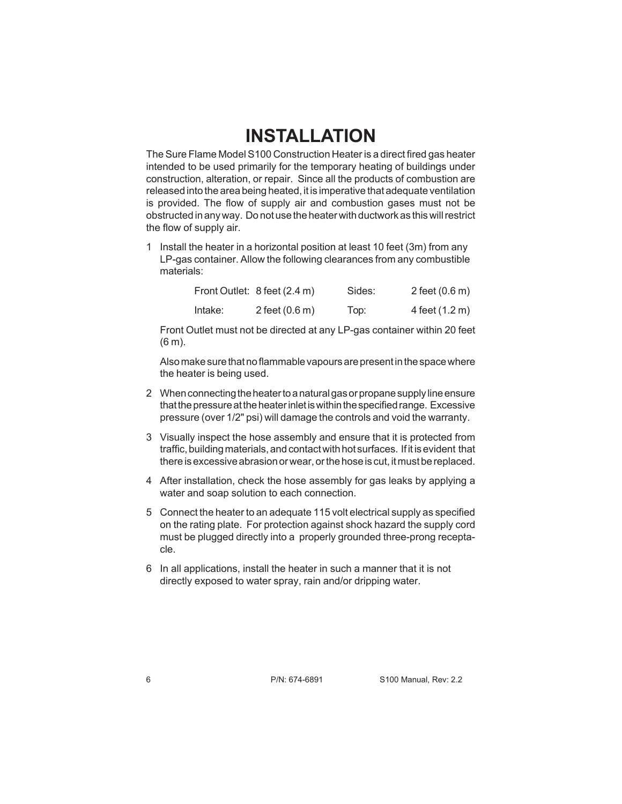#### **INSTALLATION**

The Sure Flame Model S100 Construction Heater is a direct fired gas heater intended to be used primarily for the temporary heating of buildings under construction, alteration, or repair. Since all the products of combustion are released into the area being heated, it is imperative that adequate ventilation is provided. The flow of supply air and combustion gases must not be obstructed in any way. Do not use the heater with ductwork as this will restrict the flow of supply air.

1 Install the heater in a horizontal position at least 10 feet (3m) from any LP-gas container. Allow the following clearances from any combustible materials:

|         | Front Outlet: 8 feet (2.4 m) | Sides: | 2 feet $(0.6 \, \text{m})$ |
|---------|------------------------------|--------|----------------------------|
| Intake: | 2 feet $(0.6 \, \text{m})$   | Top:   | 4 feet (1.2 m)             |

Front Outlet must not be directed at any LP-gas container within 20 feet (6 m).

Also make sure that no flammable vapours are present in the space where the heater is being used.

- 2 When connecting the heater to a natural gas or propane supply line ensure that the pressure at the heater inlet is within the specified range. Excessive pressure (over 1/2" psi) will damage the controls and void the warranty.
- 3 Visually inspect the hose assembly and ensure that it is protected from traffic, building materials, and contact with hot surfaces. If it is evident that there is excessive abrasion or wear, or the hose is cut, it must be replaced.
- 4 After installation, check the hose assembly for gas leaks by applying a water and soap solution to each connection.
- 5 Connect the heater to an adequate 115 volt electrical supply as specified on the rating plate. For protection against shock hazard the supply cord must be plugged directly into a properly grounded three-prong receptacle.
- 6 In all applications, install the heater in such a manner that it is not directly exposed to water spray, rain and/or dripping water.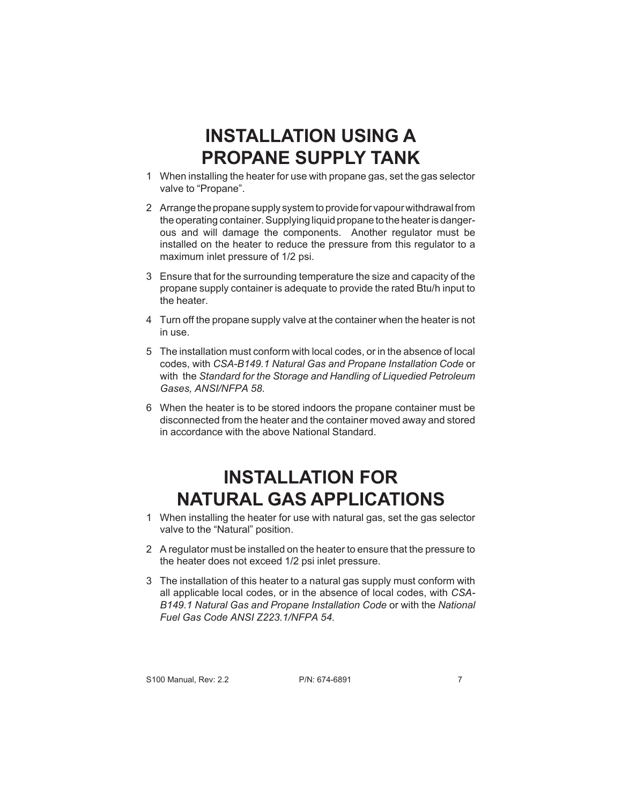#### **INSTALLATION USING A PROPANE SUPPLY TANK**

- 1 When installing the heater for use with propane gas, set the gas selector valve to "Propane".
- 2 Arrange the propane supply system to provide for vapour withdrawal from the operating container. Supplying liquid propane to the heater is dangerous and will damage the components. Another regulator must be installed on the heater to reduce the pressure from this regulator to a maximum inlet pressure of 1/2 psi.
- 3 Ensure that for the surrounding temperature the size and capacity of the propane supply container is adequate to provide the rated Btu/h input to the heater.
- 4 Turn off the propane supply valve at the container when the heater is not in use.
- 5 The installation must conform with local codes, or in the absence of local codes, with *CSA-B149.1 Natural Gas and Propane Installation Code* or with the *Standard for the Storage and Handling of Liquedied Petroleum Gases, ANSI/NFPA 58*.
- 6 When the heater is to be stored indoors the propane container must be disconnected from the heater and the container moved away and stored in accordance with the above National Standard.

## **INSTALLATION FOR NATURAL GAS APPLICATIONS**

- 1 When installing the heater for use with natural gas, set the gas selector valve to the "Natural" position.
- 2 A regulator must be installed on the heater to ensure that the pressure to the heater does not exceed 1/2 psi inlet pressure.
- 3 The installation of this heater to a natural gas supply must conform with all applicable local codes, or in the absence of local codes, with *CSA-B149.1 Natural Gas and Propane Installation Code* or with the *National Fuel Gas Code ANSI Z223.1/NFPA 54.*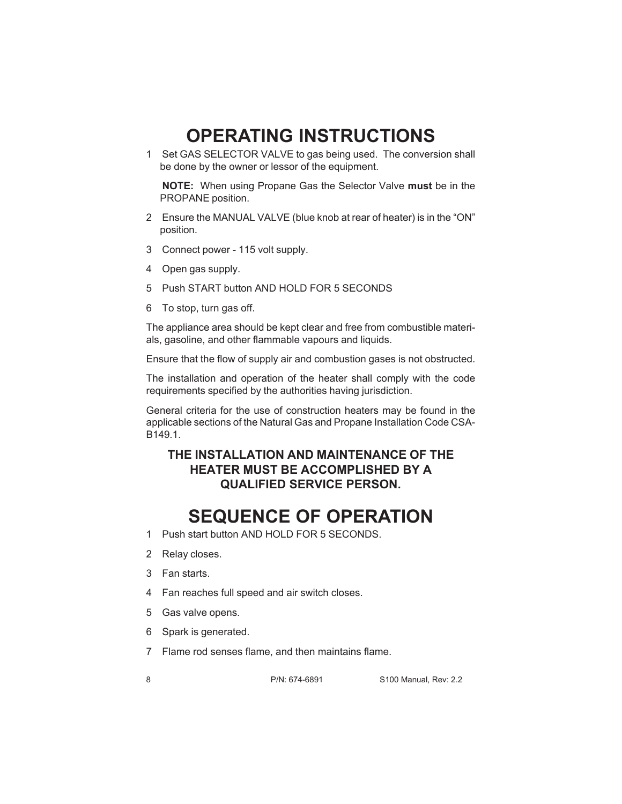#### **OPERATING INSTRUCTIONS**

1 Set GAS SELECTOR VALVE to gas being used. The conversion shall be done by the owner or lessor of the equipment.

**NOTE:** When using Propane Gas the Selector Valve **must** be in the PROPANE position.

- 2 Ensure the MANUAL VALVE (blue knob at rear of heater) is in the "ON" position.
- 3 Connect power 115 volt supply.
- 4 Open gas supply.
- 5 Push START button AND HOLD FOR 5 SECONDS
- 6 To stop, turn gas off.

The appliance area should be kept clear and free from combustible materials, gasoline, and other flammable vapours and liquids.

Ensure that the flow of supply air and combustion gases is not obstructed.

The installation and operation of the heater shall comply with the code requirements specified by the authorities having jurisdiction.

General criteria for the use of construction heaters may be found in the applicable sections of the Natural Gas and Propane Installation Code CSA-B149.1.

#### **THE INSTALLATION AND MAINTENANCE OF THE HEATER MUST BE ACCOMPLISHED BY A QUALIFIED SERVICE PERSON.**

#### **SEQUENCE OF OPERATION**

- 1 Push start button AND HOLD FOR 5 SECONDS.
- 2 Relay closes.
- 3 Fan starts.
- 4 Fan reaches full speed and air switch closes.
- 5 Gas valve opens.
- 6 Spark is generated.
- 7 Flame rod senses flame, and then maintains flame.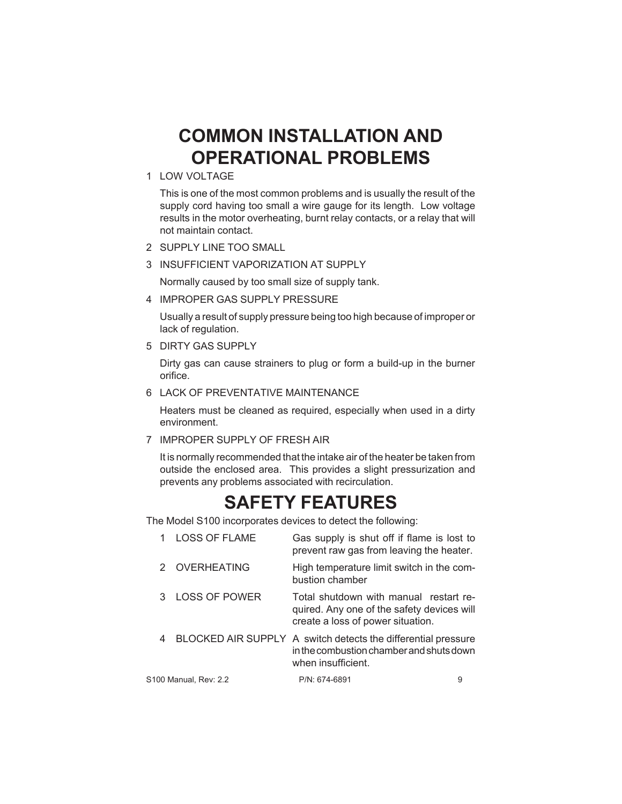#### **COMMON INSTALLATION AND OPERATIONAL PROBLEMS**

1 LOW VOLTAGE

This is one of the most common problems and is usually the result of the supply cord having too small a wire gauge for its length. Low voltage results in the motor overheating, burnt relay contacts, or a relay that will not maintain contact.

- 2 SUPPLY LINE TOO SMALL
- 3 INSUFFICIENT VAPORIZATION AT SUPPLY

Normally caused by too small size of supply tank.

4 IMPROPER GAS SUPPLY PRESSURE

Usually a result of supply pressure being too high because of improper or lack of regulation.

5 DIRTY GAS SUPPLY

Dirty gas can cause strainers to plug or form a build-up in the burner orifice.

6 LACK OF PREVENTATIVE MAINTENANCE

Heaters must be cleaned as required, especially when used in a dirty environment.

7 IMPROPER SUPPLY OF FRESH AIR

It is normally recommended that the intake air of the heater be taken from outside the enclosed area. This provides a slight pressurization and prevents any problems associated with recirculation.

#### **SAFETY FEATURES**

The Model S100 incorporates devices to detect the following:

|   | <b>LOSS OF FLAME</b>  | Gas supply is shut off if flame is lost to<br>prevent raw gas from leaving the heater.                                          |   |
|---|-----------------------|---------------------------------------------------------------------------------------------------------------------------------|---|
|   | 2 OVERHEATING         | High temperature limit switch in the com-<br>bustion chamber                                                                    |   |
| 3 | <b>LOSS OF POWER</b>  | Total shutdown with manual restart re-<br>quired. Any one of the safety devices will<br>create a loss of power situation.       |   |
| 4 |                       | BLOCKED AIR SUPPLY A switch detects the differential pressure<br>in the combustion chamber and shuts down<br>when insufficient. |   |
|   | S100 Manual, Rev: 2.2 | $P/N$ 674-6891                                                                                                                  | 9 |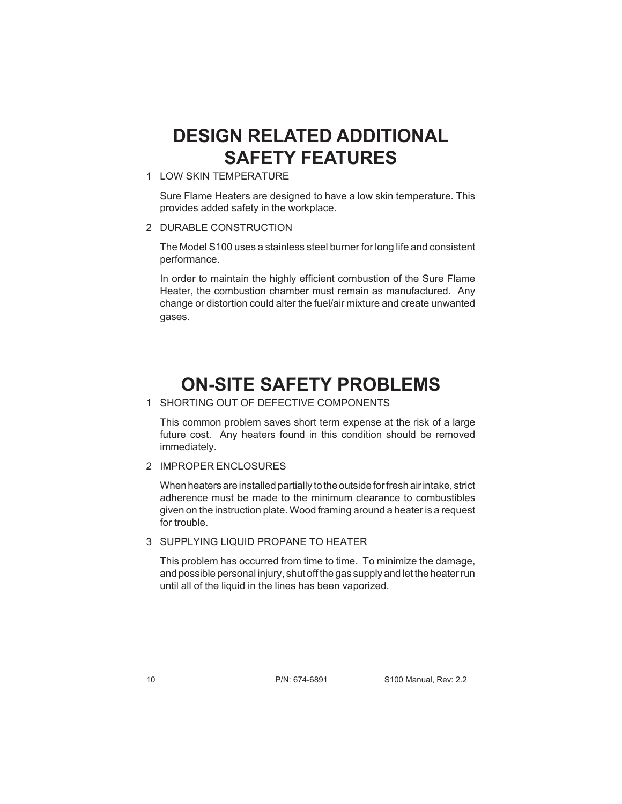#### **DESIGN RELATED ADDITIONAL SAFETY FEATURES**

1 LOW SKIN TEMPERATURE

Sure Flame Heaters are designed to have a low skin temperature. This provides added safety in the workplace.

2 DURABLE CONSTRUCTION

The Model S100 uses a stainless steel burner for long life and consistent performance.

In order to maintain the highly efficient combustion of the Sure Flame Heater, the combustion chamber must remain as manufactured. Any change or distortion could alter the fuel/air mixture and create unwanted gases.

#### **ON-SITE SAFETY PROBLEMS**

1 SHORTING OUT OF DEFECTIVE COMPONENTS

This common problem saves short term expense at the risk of a large future cost. Any heaters found in this condition should be removed immediately.

2 IMPROPER ENCLOSURES

When heaters are installed partially to the outside for fresh air intake, strict adherence must be made to the minimum clearance to combustibles given on the instruction plate. Wood framing around a heater is a request for trouble.

3 SUPPLYING LIQUID PROPANE TO HEATER

This problem has occurred from time to time. To minimize the damage, and possible personal injury, shut off the gas supply and let the heater run until all of the liquid in the lines has been vaporized.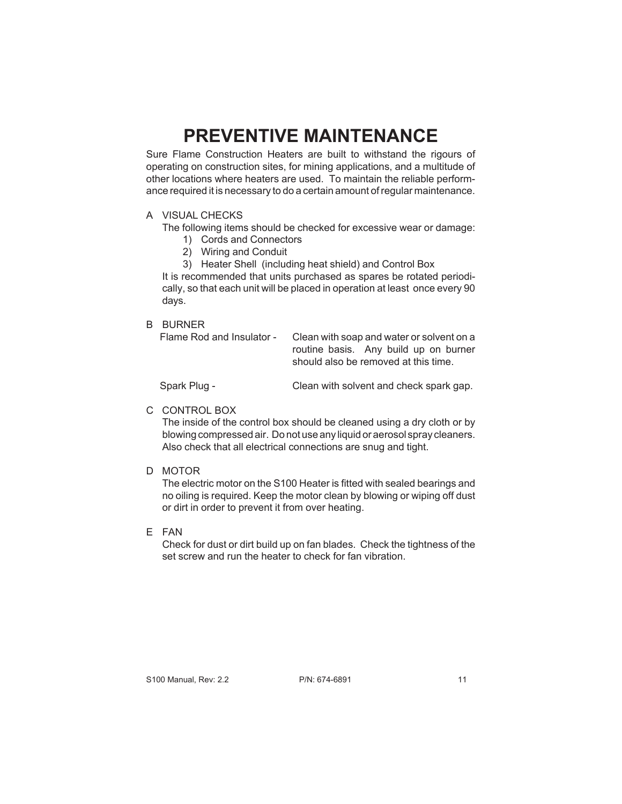## **PREVENTIVE MAINTENANCE**

Sure Flame Construction Heaters are built to withstand the rigours of operating on construction sites, for mining applications, and a multitude of other locations where heaters are used. To maintain the reliable performance required it is necessary to do a certain amount of regular maintenance.

#### A VISUAL CHECKS

- The following items should be checked for excessive wear or damage:
	- 1) Cords and Connectors
	- 2) Wiring and Conduit
	- 3) Heater Shell (including heat shield) and Control Box

It is recommended that units purchased as spares be rotated periodically, so that each unit will be placed in operation at least once every 90 days.

#### B BURNER

Flame Rod and Insulator - Clean with soap and water or solvent on a routine basis. Any build up on burner should also be removed at this time.

Spark Plug - Clean with solvent and check spark gap.

#### C CONTROL BOX

The inside of the control box should be cleaned using a dry cloth or by blowing compressed air. Do not use any liquid or aerosol spray cleaners. Also check that all electrical connections are snug and tight.

D MOTOR

The electric motor on the S100 Heater is fitted with sealed bearings and no oiling is required. Keep the motor clean by blowing or wiping off dust or dirt in order to prevent it from over heating.

E FAN

Check for dust or dirt build up on fan blades. Check the tightness of the set screw and run the heater to check for fan vibration.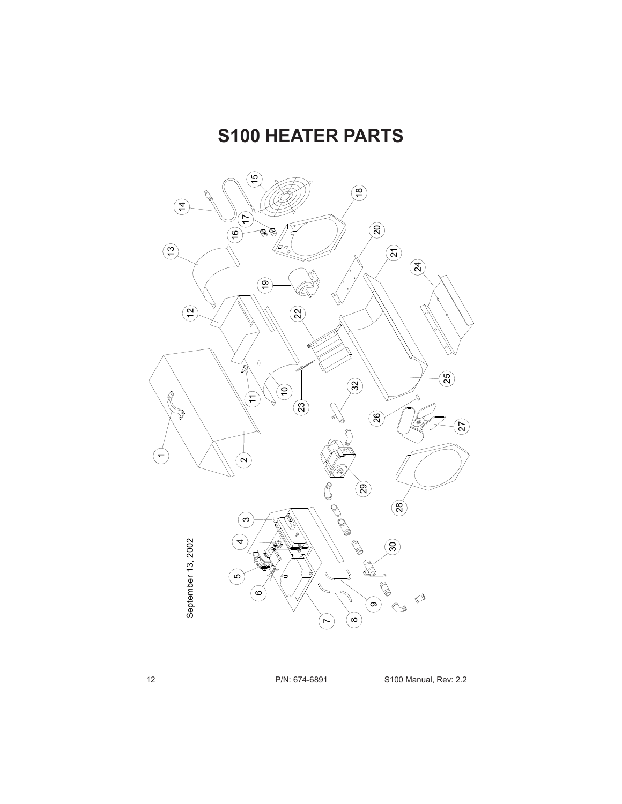#### **S100 HEATER PARTS**

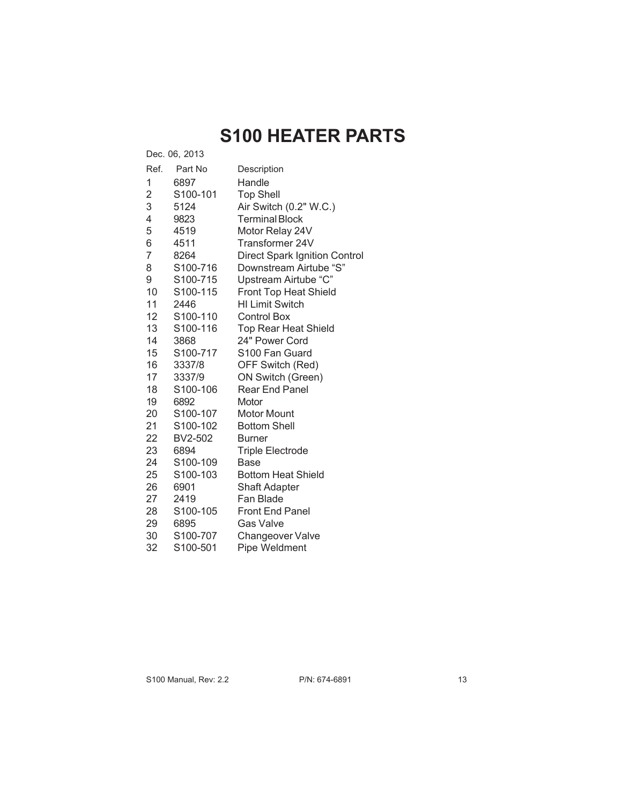## **S100 HEATER PARTS**

| Dec. 06, 2013  |                       |                                      |  |
|----------------|-----------------------|--------------------------------------|--|
| Ref.           | Part No               | Description                          |  |
| 1              | 6897                  | Handle                               |  |
| 2              | S100-101              | <b>Top Shell</b>                     |  |
| 3              | 5124                  | Air Switch (0.2" W.C.)               |  |
| 4              | 9823                  | <b>Terminal Block</b>                |  |
| 5              | 4519                  | Motor Relay 24V                      |  |
| 6              | 4511                  | Transformer 24V                      |  |
| $\overline{7}$ | 8264                  | <b>Direct Spark Ignition Control</b> |  |
| 8              | S100-716              | Downstream Airtube "S"               |  |
| 9              | S100-715              | Upstream Airtube "C"                 |  |
| 10             | S100-115              | <b>Front Top Heat Shield</b>         |  |
| 11             | 2446                  | <b>HI Limit Switch</b>               |  |
| 12             | S100-110              | <b>Control Box</b>                   |  |
| 13             | S100-116              | <b>Top Rear Heat Shield</b>          |  |
| 14             | 3868                  | 24" Power Cord                       |  |
| 15             | S100-717              | S100 Fan Guard                       |  |
| 16             | 3337/8                | OFF Switch (Red)                     |  |
| 17             | 3337/9                | ON Switch (Green)                    |  |
| 18             | S100-106              | <b>Rear End Panel</b>                |  |
| 19             | 6892                  | Motor                                |  |
| 20             | S <sub>100</sub> -107 | Motor Mount                          |  |
| 21             | S100-102              | <b>Bottom Shell</b>                  |  |
| 22             | BV2-502               | <b>Burner</b>                        |  |
| 23             | 6894                  | <b>Triple Electrode</b>              |  |
| 24             | S100-109              | Base                                 |  |
| 25             | S100-103              | <b>Bottom Heat Shield</b>            |  |
| 26             | 6901                  | <b>Shaft Adapter</b>                 |  |
| 27             | 2419                  | Fan Blade                            |  |
| 28             | S100-105              | <b>Front End Panel</b>               |  |
| 29             | 6895                  | <b>Gas Valve</b>                     |  |
| 30             | S100-707              | <b>Changeover Valve</b>              |  |
| 32             | S100-501              | Pipe Weldment                        |  |

S100 Manual, Rev: 2.2 P/N: 674-6891 13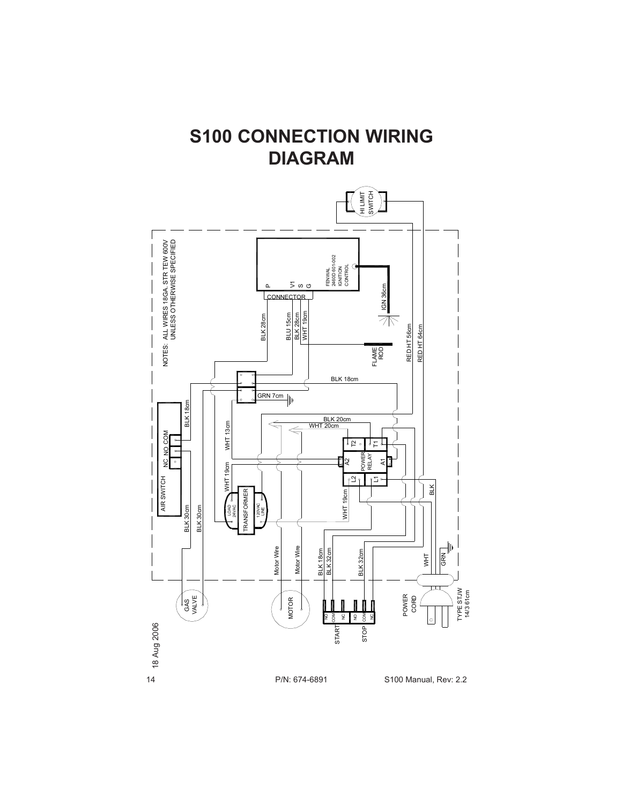#### **S100 CONNECTION WIRING DIAGRAM**